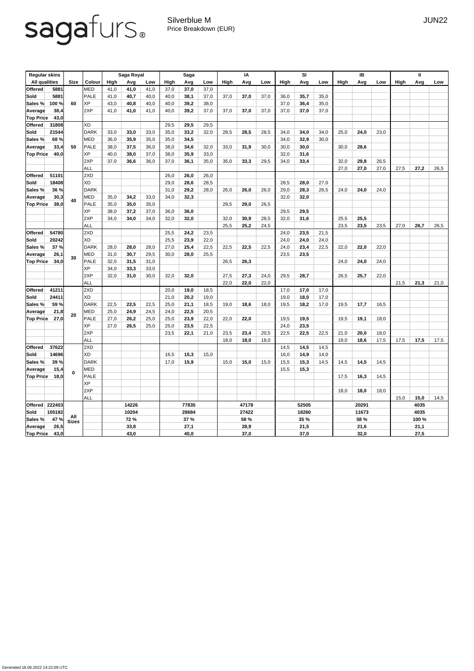## sagafurs.

Silverblue M JUN22 Price Breakdown (EUR)

| <b>Regular skins</b>           |                     |               | Saga Royal  |      |       | <b>Saga</b> |      |       | IA          |      |       | <b>SI</b>   |      |       | IB          |      | $\mathbf{I}$ |             |      |      |  |
|--------------------------------|---------------------|---------------|-------------|------|-------|-------------|------|-------|-------------|------|-------|-------------|------|-------|-------------|------|--------------|-------------|------|------|--|
| <b>All qualities</b>           | <b>Size</b>         | <b>Colour</b> | <b>High</b> | Avg  | Low   | High        | Avg  | Low   | <b>High</b> | Avg  | Low   | High        | Avg  | Low   | <b>High</b> | Avg  | Low          | <b>High</b> | Avg  | Low  |  |
| 5881<br><b>Offered</b>         |                     | MED           | 41,0        | 41,0 | 41,0  | 37,0        | 37,0 | 37,0  |             |      |       |             |      |       |             |      |              |             |      |      |  |
| <b>Sold</b><br>5881            | 60                  | PALE          | 41,0        | 40,7 | 40,0  | 40,0        | 38,1 | 37,0  | 37,0        | 37,0 | 37,0  | 36,0        | 35,7 | 35,0  |             |      |              |             |      |      |  |
| 100 % <br>Sales %              |                     | <b>XP</b>     | 43,0        | 40,8 | 40,0  | 40,0        | 39,2 | 38,0  |             |      |       | 37,0        | 36,4 | 35,0  |             |      |              |             |      |      |  |
| 38,4<br>Average                |                     | 2XP           | 41,0        | 41,0 | 41,0  | 40,0        | 39,2 | 37,0  | 37,0        | 37,0 | 37,0  | 37,0        | 37,0 | 37,0  |             |      |              |             |      |      |  |
| <b>Top Price</b><br>43,0       |                     |               |             |      |       |             |      |       |             |      |       |             |      |       |             |      |              |             |      |      |  |
| 31808<br>Offered               |                     | <b>XD</b>     |             |      |       | 29,5        | 29,5 | 29,5  |             |      |       |             |      |       |             |      |              |             |      |      |  |
| <b>Sold</b><br>21544           |                     | DARK          | 33,0        | 33,0 | 33,0  | 35,0        | 33,2 | 32,0  | 28,5        | 28,5 | 28,5  | 34,0        | 34,0 | 34,0  | 25,0        | 24,0 | 23,0         |             |      |      |  |
| Sales %<br>68 %                |                     | MED           | 36,0        | 35,9 | 35,0  | 35,0        | 34,5 |       |             |      |       | 34,0        | 32,9 | 30,0  |             |      |              |             |      |      |  |
| 33,4<br>Average                | 50                  | <b>PALE</b>   | 38,0        | 37,5 | 36,0  | 38,0        | 34,6 | 32,0  | 33,0        | 31,9 | 30,0  | 30,0        | 30,0 |       | 30,0        | 28,6 |              |             |      |      |  |
| <b>Top Price</b><br>40,0       |                     | <b>XP</b>     | 40,0        | 38,0 | 37,0  | 38,0        | 35,9 | 33,0  |             |      |       | 32,0        | 31,6 |       |             |      |              |             |      |      |  |
|                                |                     | 2XP           | 37,0        | 36,6 | 36,0  | 37,0        | 36,1 | 35,0  | 35,0        | 33,3 | 29,5  | 34,0        | 33,4 |       | 32,0        | 29,8 | 26,5         |             |      |      |  |
|                                |                     | <b>ALL</b>    |             |      |       |             |      |       |             |      |       |             |      |       | 27,0        | 27,0 | 27,0         | 27,5        | 27,2 | 26,5 |  |
| Offered<br>51101               |                     | 2XD           |             |      |       | 26,0        | 26,0 | 26,0  |             |      |       |             |      |       |             |      |              |             |      |      |  |
| Sold<br>18408                  |                     | <b>XD</b>     |             |      |       | 29,0        | 28,6 | 28,5  |             |      |       | 28,5        | 28,0 | 27,0  |             |      |              |             |      |      |  |
| 36 %<br>Sales %                |                     | DARK          |             |      |       | 31,0        | 29,2 | 28,0  | 26,0        | 26,0 | 26,0  | 29,0        | 28,3 | 26,5  | 24,0        | 24,0 | 24,0         |             |      |      |  |
| 30,3<br> Average               | 40                  | <b>MED</b>    | 35,0        | 34,2 | 33,0  | 34,0        | 32,3 |       |             |      |       | 32,0        | 32,0 |       |             |      |              |             |      |      |  |
| 38,0<br><b>Top Price</b>       |                     | PALE          | 35,0        | 35,0 | 35,0  |             |      |       | 29,5        | 29,0 | 26,5  |             |      |       |             |      |              |             |      |      |  |
|                                |                     | <b>XP</b>     | 38,0        | 37,2 | 37,0  | 36,0        | 36,0 |       |             |      |       | 29,5        | 29,5 |       |             |      |              |             |      |      |  |
|                                |                     | 2XP           | 34,0        | 34,0 | 34,0  | 32,0        | 32,0 |       | 32,0        | 30,9 | 28,5  | 32,0        | 31,6 |       | 25,5        | 25,5 |              |             |      |      |  |
|                                |                     | <b>ALL</b>    |             |      |       |             |      |       | 25,5        | 25,2 | 24,5  |             |      |       | 23,5        | 23,5 | 23,5         | 27,0        | 26,7 | 26,5 |  |
| <b>Offered</b><br>54780        |                     | 2XD           |             |      |       | 25,5        | 24,2 | 23,5  |             |      |       | 24,0        | 23,5 | 21,5  |             |      |              |             |      |      |  |
| Sold<br>20242                  | 30                  | XD            |             |      |       | 25,5        | 23,9 | 22,0  |             |      |       | 24,0        | 24,0 | 24,0  |             |      |              |             |      |      |  |
| 37 %<br>Sales %                |                     | DARK          | 28,0        | 28,0 | 28,0  | 27,0        | 25,4 | 22,5  | 22,5        | 22,5 | 22,5  | 24,0        | 23,4 | 22,5  | 22,0        | 22,0 | 22,0         |             |      |      |  |
| 26,1<br>Average                |                     | MED           | 31,0        | 30,7 | 29,5  | 30,0        | 28,0 | 25,5  |             |      |       | 23,5        | 23,5 |       |             |      |              |             |      |      |  |
| <b>Top Price</b><br>34,0       |                     | PALE          | 32,0        | 31,5 | 31,0  |             |      |       | 26,5        | 26,3 |       |             |      |       | 24,0        | 24,0 | 24,0         |             |      |      |  |
|                                |                     | <b>XP</b>     | 34,0        | 33,3 | 33,0  |             |      |       |             |      |       |             |      |       |             |      |              |             |      |      |  |
|                                |                     | 2XP           | 32,0        | 31,0 | 30,0  | 32,0        | 32,0 |       | 27,5        | 27,3 | 24,0  | 29,5        | 28,7 |       | 26,5        | 25,7 | 22,0         |             |      |      |  |
|                                |                     | <b>ALL</b>    |             |      |       |             |      |       | 22,0        | 22,0 | 22,0  |             |      |       |             |      |              | 21,5        | 21,3 | 21,0 |  |
| <b>Offered</b><br>41211        |                     | 2XD           |             |      |       | 20,0        | 19,0 | 18,5  |             |      |       | 17,0        | 17,0 | 17,0  |             |      |              |             |      |      |  |
| <b>Sold</b><br>24411           | 20                  | XD            |             |      |       | 21,0        | 20,2 | 19,0  |             |      |       | 19,0        | 18,0 | 17,0  |             |      |              |             |      |      |  |
| Sales %<br>59 %                |                     | DARK          | 22,5        | 22,5 | 22,5  | 25,0        | 21,1 | 18,5  | 19,0        | 18,6 | 18,0  | 19,5        | 18,2 | 17,0  | 19,5        | 17,7 | 16,5         |             |      |      |  |
| 21,8<br><b>Average</b>         |                     | MED           | 25,0        | 24,9 | 24,5  | 24,0        | 22,5 | 20,5  |             |      |       |             |      |       |             |      |              |             |      |      |  |
| 27,0<br><b>Top Price</b>       |                     | PALE          | 27,0        | 26,2 | 25,0  | 25,0        | 23,9 | 22,0  | 22,0        | 22,0 |       | 19,5        | 19,5 |       | 19,5        | 19,1 | 18,0         |             |      |      |  |
|                                |                     | <b>XP</b>     | 27,0        | 26,5 | 25,0  | 25,0        | 23,5 | 22,5  |             |      |       | 24,0        | 23,5 |       |             |      |              |             |      |      |  |
|                                |                     | 2XP           |             |      |       | 23,5        | 22,1 | 21,0  | 23,5        | 23,4 | 20,5  | 22,5        | 22,5 | 22,5  | 21,0        | 20,0 | 18,0         |             |      |      |  |
|                                |                     | <b>ALL</b>    |             |      |       |             |      |       | 18,0        | 18,0 | 18,0  |             |      |       | 19,0        | 18,6 | 17,5         | 17,5        | 17,5 | 17,5 |  |
| <b>Offered</b><br>37622        |                     | 2XD           |             |      |       |             |      |       |             |      |       | 14,5        | 14,5 | 14,5  |             |      |              |             |      |      |  |
| Sold<br>14696                  |                     | XD            |             |      |       | 16,5        | 15,3 | 15,0  |             |      |       | 16,0        | 14,9 | 14,0  |             |      |              |             |      |      |  |
| 39 %<br>Sales %                |                     | DARK          |             |      |       | 17,0        | 15,9 |       | 15,0        | 15,0 | 15,0  | 15,5        | 15,3 | 14,5  | 14,5        | 14,5 | 14,5         |             |      |      |  |
| 15,4<br><b>Average</b>         |                     | <b>MED</b>    |             |      |       |             |      |       |             |      |       | 15,5        | 15,3 |       |             |      |              |             |      |      |  |
| <b>Top Price</b><br>18,0       | $\mathbf 0$         | PALE          |             |      |       |             |      |       |             |      |       |             |      |       | 17,5        | 16,3 | 14,5         |             |      |      |  |
|                                |                     | <b>XP</b>     |             |      |       |             |      |       |             |      |       |             |      |       |             |      |              |             |      |      |  |
|                                |                     | 2XP           |             |      |       |             |      |       |             |      |       |             |      |       | 18,0        | 18,0 | 18,0         |             |      |      |  |
|                                |                     | <b>ALL</b>    |             |      |       |             |      |       |             |      |       |             |      |       |             |      |              | 15,0        | 15,0 | 14,5 |  |
| $\mathsf{I}$ Offered<br>222403 |                     |               | 14226       |      | 77835 |             |      | 47178 |             |      | 52505 |             |      | 20291 |             |      | 4035         |             |      |      |  |
| 105182<br> Sold                |                     |               | 10204       |      |       | 28684       |      |       | 27422       |      |       | 18260       |      |       | 11673       |      |              | 4035        |      |      |  |
| 47 %<br>Sales %                | All<br><b>Sizes</b> |               | <b>72 %</b> |      |       | <b>37 %</b> |      |       | 58 %        |      |       | <b>35 %</b> |      |       | 58 %        |      |              | 100 %       |      |      |  |
| 26,5<br>Average                |                     |               | 33,8        |      |       | 27,1        |      |       | 28,9        |      |       | 21,5        |      |       | 21,6        |      |              | 21,1        |      |      |  |
| <b>Top Price</b><br>43,0       |                     |               | 43,0        |      |       | 40,0        |      |       |             | 37,0 |       |             | 37,0 |       |             | 32,0 |              |             | 27,5 |      |  |
|                                |                     |               |             |      |       |             |      |       |             |      |       |             |      |       |             |      |              |             |      |      |  |